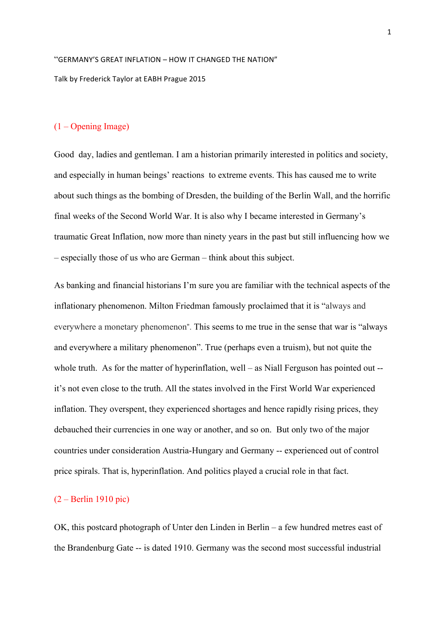# "GERMANY'S GREAT INFLATION - HOW IT CHANGED THE NATION" Talk by Frederick Taylor at EABH Prague 2015

## (1 – Opening Image)

Good day, ladies and gentleman. I am a historian primarily interested in politics and society, and especially in human beings' reactions to extreme events. This has caused me to write about such things as the bombing of Dresden, the building of the Berlin Wall, and the horrific final weeks of the Second World War. It is also why I became interested in Germany's traumatic Great Inflation, now more than ninety years in the past but still influencing how we – especially those of us who are German – think about this subject.

As banking and financial historians I'm sure you are familiar with the technical aspects of the inflationary phenomenon. Milton Friedman famously proclaimed that it is "always and everywhere a monetary phenomenon". This seems to me true in the sense that war is "always and everywhere a military phenomenon". True (perhaps even a truism), but not quite the whole truth. As for the matter of hyperinflation, well – as Niall Ferguson has pointed out -it's not even close to the truth. All the states involved in the First World War experienced inflation. They overspent, they experienced shortages and hence rapidly rising prices, they debauched their currencies in one way or another, and so on. But only two of the major countries under consideration Austria-Hungary and Germany -- experienced out of control price spirals. That is, hyperinflation. And politics played a crucial role in that fact.

#### (2 – Berlin 1910 pic)

OK, this postcard photograph of Unter den Linden in Berlin – a few hundred metres east of the Brandenburg Gate -- is dated 1910. Germany was the second most successful industrial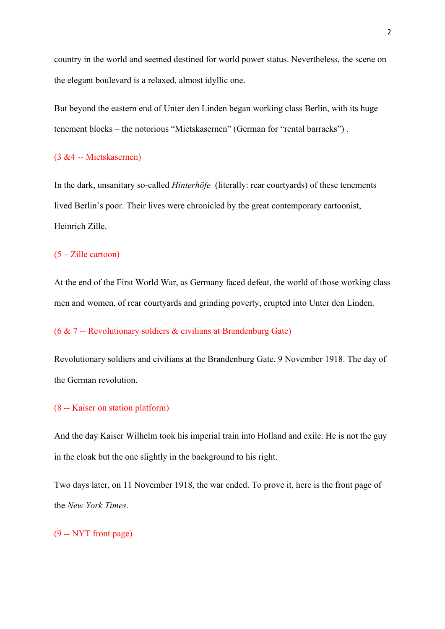country in the world and seemed destined for world power status. Nevertheless, the scene on the elegant boulevard is a relaxed, almost idyllic one.

But beyond the eastern end of Unter den Linden began working class Berlin, with its huge tenement blocks – the notorious "Mietskasernen" (German for "rental barracks") .

## (3 &4 -- Mietskasernen)

In the dark, unsanitary so-called *Hinterhöfe* (literally: rear courtyards) of these tenements lived Berlin's poor. Their lives were chronicled by the great contemporary cartoonist, Heinrich Zille.

#### (5 – Zille cartoon)

At the end of the First World War, as Germany faced defeat, the world of those working class men and women, of rear courtyards and grinding poverty, erupted into Unter den Linden.

## (6 & 7 -- Revolutionary soldiers & civilians at Brandenburg Gate)

Revolutionary soldiers and civilians at the Brandenburg Gate, 9 November 1918. The day of the German revolution.

#### (8 -- Kaiser on station platform)

And the day Kaiser Wilhelm took his imperial train into Holland and exile. He is not the guy in the cloak but the one slightly in the background to his right.

Two days later, on 11 November 1918, the war ended. To prove it, here is the front page of the *New York Times*.

(9 -- NYT front page)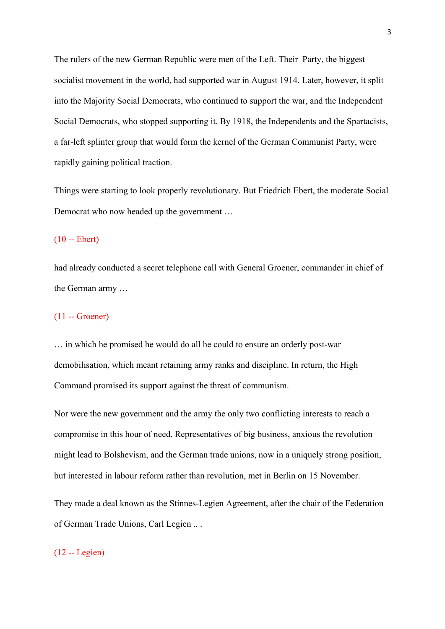The rulers of the new German Republic were men of the Left. Their Party, the biggest socialist movement in the world, had supported war in August 1914. Later, however, it split into the Majority Social Democrats, who continued to support the war, and the Independent Social Democrats, who stopped supporting it. By 1918, the Independents and the Spartacists, a far-left splinter group that would form the kernel of the German Communist Party, were rapidly gaining political traction.

Things were starting to look properly revolutionary. But Friedrich Ebert, the moderate Social Democrat who now headed up the government …

#### (10 -- Ebert)

had already conducted a secret telephone call with General Groener, commander in chief of the German army …

## (11 -- Groener)

… in which he promised he would do all he could to ensure an orderly post-war demobilisation, which meant retaining army ranks and discipline. In return, the High Command promised its support against the threat of communism.

Nor were the new government and the army the only two conflicting interests to reach a compromise in this hour of need. Representatives of big business, anxious the revolution might lead to Bolshevism, and the German trade unions, now in a uniquely strong position, but interested in labour reform rather than revolution, met in Berlin on 15 November.

They made a deal known as the Stinnes-Legien Agreement, after the chair of the Federation of German Trade Unions, Carl Legien .. .

#### (12 -- Legien)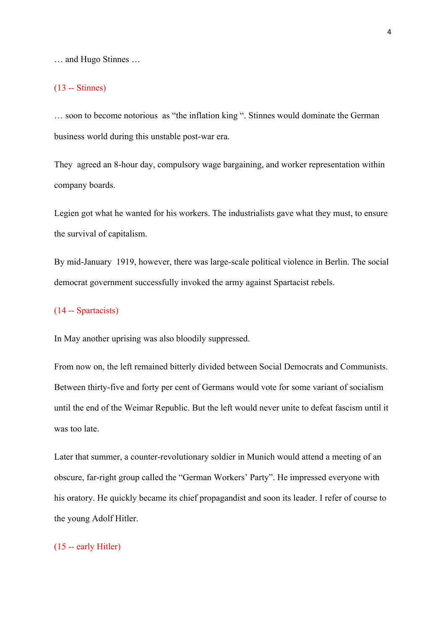… and Hugo Stinnes …

#### (13 -- Stinnes)

… soon to become notorious as "the inflation king ". Stinnes would dominate the German business world during this unstable post-war era.

They agreed an 8-hour day, compulsory wage bargaining, and worker representation within company boards.

Legien got what he wanted for his workers. The industrialists gave what they must, to ensure the survival of capitalism.

By mid-January 1919, however, there was large-scale political violence in Berlin. The social democrat government successfully invoked the army against Spartacist rebels.

#### (14 -- Spartacists)

In May another uprising was also bloodily suppressed.

From now on, the left remained bitterly divided between Social Democrats and Communists. Between thirty-five and forty per cent of Germans would vote for some variant of socialism until the end of the Weimar Republic. But the left would never unite to defeat fascism until it was too late.

Later that summer, a counter-revolutionary soldier in Munich would attend a meeting of an obscure, far-right group called the "German Workers' Party". He impressed everyone with his oratory. He quickly became its chief propagandist and soon its leader. I refer of course to the young Adolf Hitler.

## (15 -- early Hitler)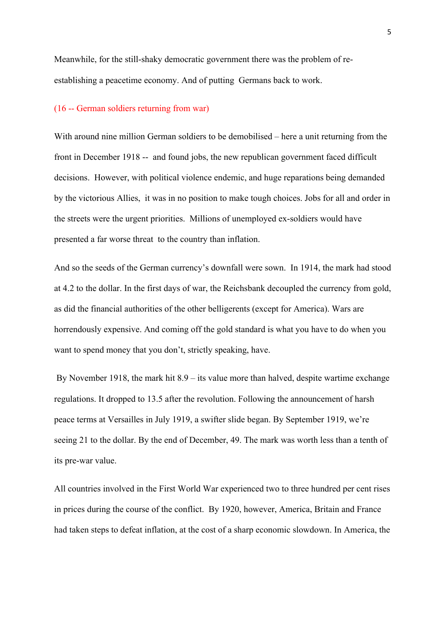Meanwhile, for the still-shaky democratic government there was the problem of reestablishing a peacetime economy. And of putting Germans back to work.

#### (16 -- German soldiers returning from war)

With around nine million German soldiers to be demobilised – here a unit returning from the front in December 1918 -- and found jobs, the new republican government faced difficult decisions. However, with political violence endemic, and huge reparations being demanded by the victorious Allies, it was in no position to make tough choices. Jobs for all and order in the streets were the urgent priorities. Millions of unemployed ex-soldiers would have presented a far worse threat to the country than inflation.

And so the seeds of the German currency's downfall were sown. In 1914, the mark had stood at 4.2 to the dollar. In the first days of war, the Reichsbank decoupled the currency from gold, as did the financial authorities of the other belligerents (except for America). Wars are horrendously expensive. And coming off the gold standard is what you have to do when you want to spend money that you don't, strictly speaking, have.

By November 1918, the mark hit 8.9 – its value more than halved, despite wartime exchange regulations. It dropped to 13.5 after the revolution. Following the announcement of harsh peace terms at Versailles in July 1919, a swifter slide began. By September 1919, we're seeing 21 to the dollar. By the end of December, 49. The mark was worth less than a tenth of its pre-war value.

All countries involved in the First World War experienced two to three hundred per cent rises in prices during the course of the conflict. By 1920, however, America, Britain and France had taken steps to defeat inflation, at the cost of a sharp economic slowdown. In America, the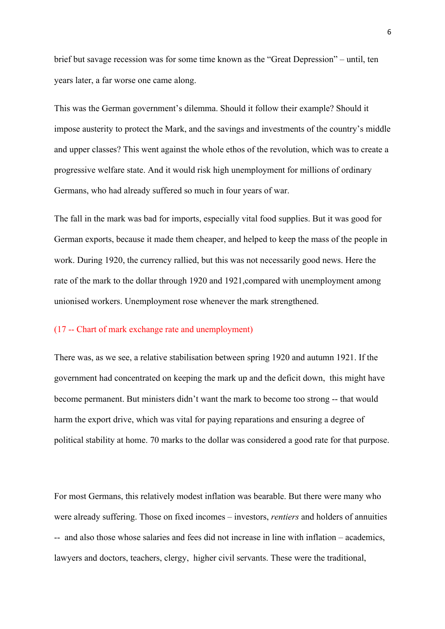brief but savage recession was for some time known as the "Great Depression" – until, ten years later, a far worse one came along.

This was the German government's dilemma. Should it follow their example? Should it impose austerity to protect the Mark, and the savings and investments of the country's middle and upper classes? This went against the whole ethos of the revolution, which was to create a progressive welfare state. And it would risk high unemployment for millions of ordinary Germans, who had already suffered so much in four years of war.

The fall in the mark was bad for imports, especially vital food supplies. But it was good for German exports, because it made them cheaper, and helped to keep the mass of the people in work. During 1920, the currency rallied, but this was not necessarily good news. Here the rate of the mark to the dollar through 1920 and 1921,compared with unemployment among unionised workers. Unemployment rose whenever the mark strengthened.

#### (17 -- Chart of mark exchange rate and unemployment)

There was, as we see, a relative stabilisation between spring 1920 and autumn 1921. If the government had concentrated on keeping the mark up and the deficit down, this might have become permanent. But ministers didn't want the mark to become too strong -- that would harm the export drive, which was vital for paying reparations and ensuring a degree of political stability at home. 70 marks to the dollar was considered a good rate for that purpose.

For most Germans, this relatively modest inflation was bearable. But there were many who were already suffering. Those on fixed incomes – investors, *rentiers* and holders of annuities -- and also those whose salaries and fees did not increase in line with inflation – academics, lawyers and doctors, teachers, clergy, higher civil servants. These were the traditional,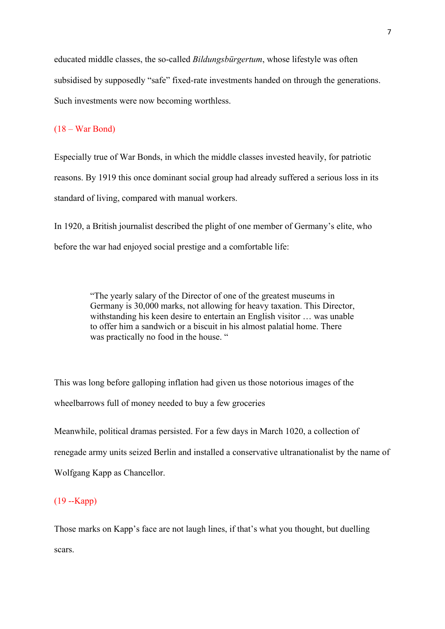educated middle classes, the so-called *Bildungsbürgertum*, whose lifestyle was often subsidised by supposedly "safe" fixed-rate investments handed on through the generations. Such investments were now becoming worthless.

## (18 – War Bond)

Especially true of War Bonds, in which the middle classes invested heavily, for patriotic reasons. By 1919 this once dominant social group had already suffered a serious loss in its standard of living, compared with manual workers.

In 1920, a British journalist described the plight of one member of Germany's elite, who before the war had enjoyed social prestige and a comfortable life:

> "The yearly salary of the Director of one of the greatest museums in Germany is 30,000 marks, not allowing for heavy taxation. This Director, withstanding his keen desire to entertain an English visitor … was unable to offer him a sandwich or a biscuit in his almost palatial home. There was practically no food in the house. "

This was long before galloping inflation had given us those notorious images of the wheelbarrows full of money needed to buy a few groceries

Meanwhile, political dramas persisted. For a few days in March 1020, a collection of renegade army units seized Berlin and installed a conservative ultranationalist by the name of Wolfgang Kapp as Chancellor.

## (19 --Kapp)

Those marks on Kapp's face are not laugh lines, if that's what you thought, but duelling scars.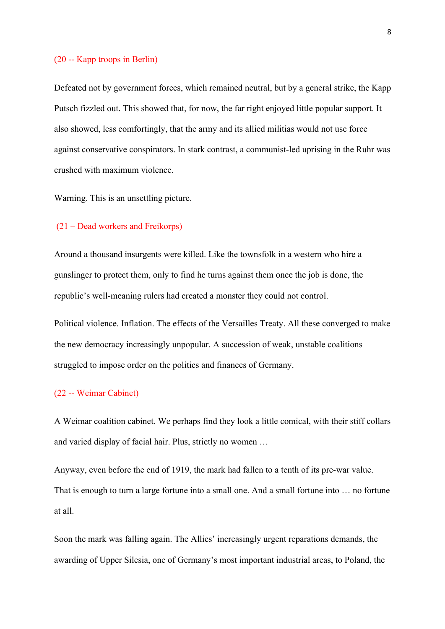#### (20 -- Kapp troops in Berlin)

Defeated not by government forces, which remained neutral, but by a general strike, the Kapp Putsch fizzled out. This showed that, for now, the far right enjoyed little popular support. It also showed, less comfortingly, that the army and its allied militias would not use force against conservative conspirators. In stark contrast, a communist-led uprising in the Ruhr was crushed with maximum violence.

Warning. This is an unsettling picture.

#### (21 – Dead workers and Freikorps)

Around a thousand insurgents were killed. Like the townsfolk in a western who hire a gunslinger to protect them, only to find he turns against them once the job is done, the republic's well-meaning rulers had created a monster they could not control.

Political violence. Inflation. The effects of the Versailles Treaty. All these converged to make the new democracy increasingly unpopular. A succession of weak, unstable coalitions struggled to impose order on the politics and finances of Germany.

#### (22 -- Weimar Cabinet)

A Weimar coalition cabinet. We perhaps find they look a little comical, with their stiff collars and varied display of facial hair. Plus, strictly no women …

Anyway, even before the end of 1919, the mark had fallen to a tenth of its pre-war value. That is enough to turn a large fortune into a small one. And a small fortune into … no fortune at all.

Soon the mark was falling again. The Allies' increasingly urgent reparations demands, the awarding of Upper Silesia, one of Germany's most important industrial areas, to Poland, the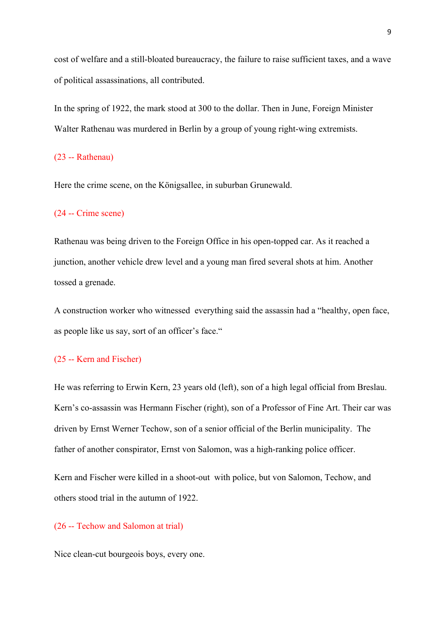cost of welfare and a still-bloated bureaucracy, the failure to raise sufficient taxes, and a wave of political assassinations, all contributed.

In the spring of 1922, the mark stood at 300 to the dollar. Then in June, Foreign Minister Walter Rathenau was murdered in Berlin by a group of young right-wing extremists.

## (23 -- Rathenau)

Here the crime scene, on the Königsallee, in suburban Grunewald.

#### (24 -- Crime scene)

Rathenau was being driven to the Foreign Office in his open-topped car. As it reached a junction, another vehicle drew level and a young man fired several shots at him. Another tossed a grenade.

A construction worker who witnessed everything said the assassin had a "healthy, open face, as people like us say, sort of an officer's face."

#### (25 -- Kern and Fischer)

He was referring to Erwin Kern, 23 years old (left), son of a high legal official from Breslau. Kern's co-assassin was Hermann Fischer (right), son of a Professor of Fine Art. Their car was driven by Ernst Werner Techow, son of a senior official of the Berlin municipality. The father of another conspirator, Ernst von Salomon, was a high-ranking police officer.

Kern and Fischer were killed in a shoot-out with police, but von Salomon, Techow, and others stood trial in the autumn of 1922.

#### (26 -- Techow and Salomon at trial)

Nice clean-cut bourgeois boys, every one.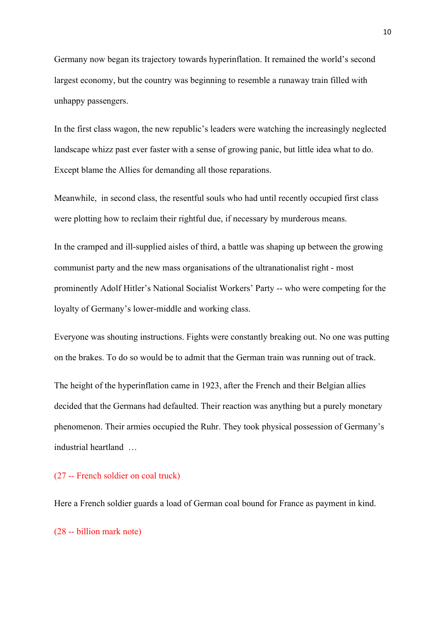Germany now began its trajectory towards hyperinflation. It remained the world's second largest economy, but the country was beginning to resemble a runaway train filled with unhappy passengers.

In the first class wagon, the new republic's leaders were watching the increasingly neglected landscape whizz past ever faster with a sense of growing panic, but little idea what to do. Except blame the Allies for demanding all those reparations.

Meanwhile, in second class, the resentful souls who had until recently occupied first class were plotting how to reclaim their rightful due, if necessary by murderous means.

In the cramped and ill-supplied aisles of third, a battle was shaping up between the growing communist party and the new mass organisations of the ultranationalist right - most prominently Adolf Hitler's National Socialist Workers' Party -- who were competing for the loyalty of Germany's lower-middle and working class.

Everyone was shouting instructions. Fights were constantly breaking out. No one was putting on the brakes. To do so would be to admit that the German train was running out of track.

The height of the hyperinflation came in 1923, after the French and their Belgian allies decided that the Germans had defaulted. Their reaction was anything but a purely monetary phenomenon. Their armies occupied the Ruhr. They took physical possession of Germany's industrial heartland …

#### (27 -- French soldier on coal truck)

Here a French soldier guards a load of German coal bound for France as payment in kind.

(28 -- billion mark note)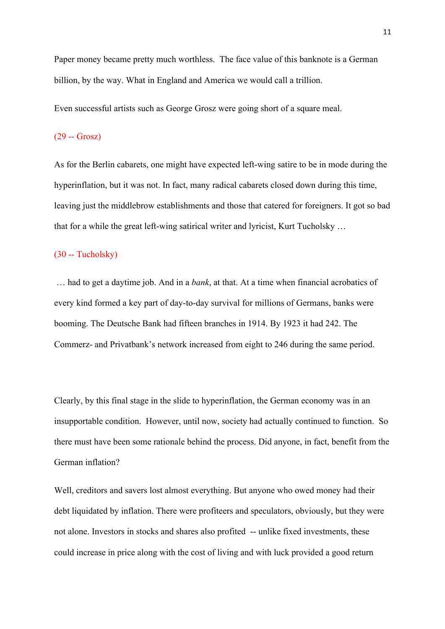Paper money became pretty much worthless. The face value of this banknote is a German billion, by the way. What in England and America we would call a trillion.

Even successful artists such as George Grosz were going short of a square meal.

#### (29 -- Grosz)

As for the Berlin cabarets, one might have expected left-wing satire to be in mode during the hyperinflation, but it was not. In fact, many radical cabarets closed down during this time, leaving just the middlebrow establishments and those that catered for foreigners. It got so bad that for a while the great left-wing satirical writer and lyricist, Kurt Tucholsky …

#### (30 -- Tucholsky)

… had to get a daytime job. And in a *bank*, at that. At a time when financial acrobatics of every kind formed a key part of day-to-day survival for millions of Germans, banks were booming. The Deutsche Bank had fifteen branches in 1914. By 1923 it had 242. The Commerz- and Privatbank's network increased from eight to 246 during the same period.

Clearly, by this final stage in the slide to hyperinflation, the German economy was in an insupportable condition. However, until now, society had actually continued to function. So there must have been some rationale behind the process. Did anyone, in fact, benefit from the German inflation?

Well, creditors and savers lost almost everything. But anyone who owed money had their debt liquidated by inflation. There were profiteers and speculators, obviously, but they were not alone. Investors in stocks and shares also profited -- unlike fixed investments, these could increase in price along with the cost of living and with luck provided a good return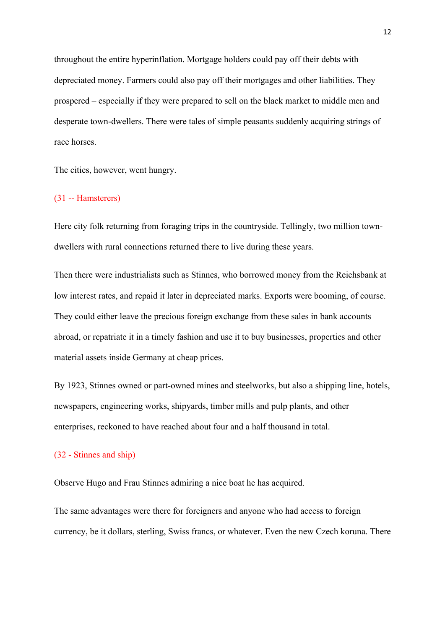throughout the entire hyperinflation. Mortgage holders could pay off their debts with depreciated money. Farmers could also pay off their mortgages and other liabilities. They prospered – especially if they were prepared to sell on the black market to middle men and desperate town-dwellers. There were tales of simple peasants suddenly acquiring strings of race horses.

The cities, however, went hungry.

## (31 -- Hamsterers)

Here city folk returning from foraging trips in the countryside. Tellingly, two million towndwellers with rural connections returned there to live during these years.

Then there were industrialists such as Stinnes, who borrowed money from the Reichsbank at low interest rates, and repaid it later in depreciated marks. Exports were booming, of course. They could either leave the precious foreign exchange from these sales in bank accounts abroad, or repatriate it in a timely fashion and use it to buy businesses, properties and other material assets inside Germany at cheap prices.

By 1923, Stinnes owned or part-owned mines and steelworks, but also a shipping line, hotels, newspapers, engineering works, shipyards, timber mills and pulp plants, and other enterprises, reckoned to have reached about four and a half thousand in total.

#### (32 - Stinnes and ship)

Observe Hugo and Frau Stinnes admiring a nice boat he has acquired.

The same advantages were there for foreigners and anyone who had access to foreign currency, be it dollars, sterling, Swiss francs, or whatever. Even the new Czech koruna. There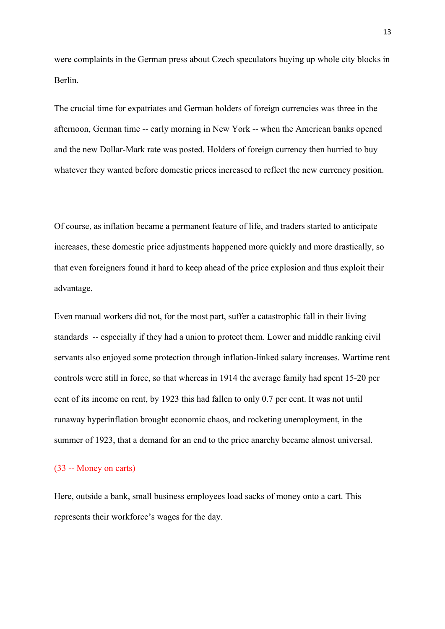were complaints in the German press about Czech speculators buying up whole city blocks in Berlin.

The crucial time for expatriates and German holders of foreign currencies was three in the afternoon, German time -- early morning in New York -- when the American banks opened and the new Dollar-Mark rate was posted. Holders of foreign currency then hurried to buy whatever they wanted before domestic prices increased to reflect the new currency position.

Of course, as inflation became a permanent feature of life, and traders started to anticipate increases, these domestic price adjustments happened more quickly and more drastically, so that even foreigners found it hard to keep ahead of the price explosion and thus exploit their advantage.

Even manual workers did not, for the most part, suffer a catastrophic fall in their living standards -- especially if they had a union to protect them. Lower and middle ranking civil servants also enjoyed some protection through inflation-linked salary increases. Wartime rent controls were still in force, so that whereas in 1914 the average family had spent 15-20 per cent of its income on rent, by 1923 this had fallen to only 0.7 per cent. It was not until runaway hyperinflation brought economic chaos, and rocketing unemployment, in the summer of 1923, that a demand for an end to the price anarchy became almost universal.

#### (33 -- Money on carts)

Here, outside a bank, small business employees load sacks of money onto a cart. This represents their workforce's wages for the day.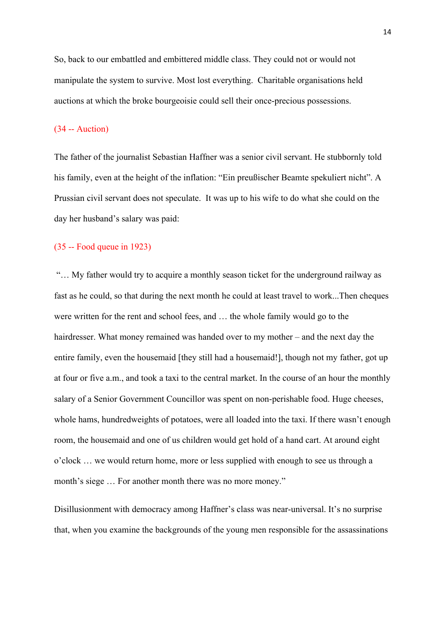So, back to our embattled and embittered middle class. They could not or would not manipulate the system to survive. Most lost everything. Charitable organisations held auctions at which the broke bourgeoisie could sell their once-precious possessions.

## (34 -- Auction)

The father of the journalist Sebastian Haffner was a senior civil servant. He stubbornly told his family, even at the height of the inflation: "Ein preußischer Beamte spekuliert nicht". A Prussian civil servant does not speculate. It was up to his wife to do what she could on the day her husband's salary was paid:

#### (35 -- Food queue in 1923)

"… My father would try to acquire a monthly season ticket for the underground railway as fast as he could, so that during the next month he could at least travel to work...Then cheques were written for the rent and school fees, and … the whole family would go to the hairdresser. What money remained was handed over to my mother – and the next day the entire family, even the housemaid [they still had a housemaid!], though not my father, got up at four or five a.m., and took a taxi to the central market. In the course of an hour the monthly salary of a Senior Government Councillor was spent on non-perishable food. Huge cheeses, whole hams, hundredweights of potatoes, were all loaded into the taxi. If there wasn't enough room, the housemaid and one of us children would get hold of a hand cart. At around eight o'clock … we would return home, more or less supplied with enough to see us through a month's siege ... For another month there was no more money."

Disillusionment with democracy among Haffner's class was near-universal. It's no surprise that, when you examine the backgrounds of the young men responsible for the assassinations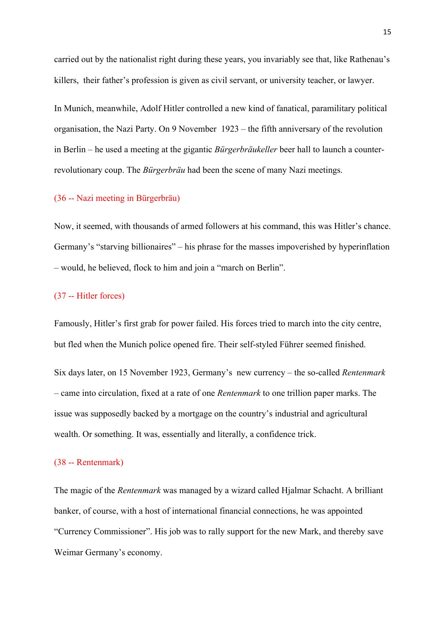carried out by the nationalist right during these years, you invariably see that, like Rathenau's killers, their father's profession is given as civil servant, or university teacher, or lawyer.

In Munich, meanwhile, Adolf Hitler controlled a new kind of fanatical, paramilitary political organisation, the Nazi Party. On 9 November 1923 – the fifth anniversary of the revolution in Berlin – he used a meeting at the gigantic *Bürgerbräukeller* beer hall to launch a counterrevolutionary coup. The *Bürgerbräu* had been the scene of many Nazi meetings.

#### (36 -- Nazi meeting in Bürgerbräu)

Now, it seemed, with thousands of armed followers at his command, this was Hitler's chance. Germany's "starving billionaires" – his phrase for the masses impoverished by hyperinflation – would, he believed, flock to him and join a "march on Berlin".

#### (37 -- Hitler forces)

Famously, Hitler's first grab for power failed. His forces tried to march into the city centre, but fled when the Munich police opened fire. Their self-styled Führer seemed finished.

Six days later, on 15 November 1923, Germany's new currency – the so-called *Rentenmark* – came into circulation, fixed at a rate of one *Rentenmark* to one trillion paper marks. The issue was supposedly backed by a mortgage on the country's industrial and agricultural wealth. Or something. It was, essentially and literally, a confidence trick.

#### (38 -- Rentenmark)

The magic of the *Rentenmark* was managed by a wizard called Hjalmar Schacht. A brilliant banker, of course, with a host of international financial connections, he was appointed "Currency Commissioner". His job was to rally support for the new Mark, and thereby save Weimar Germany's economy.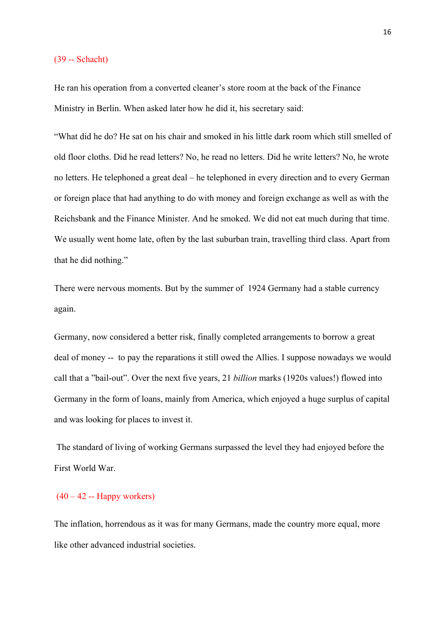#### (39 -- Schacht)

He ran his operation from a converted cleaner's store room at the back of the Finance Ministry in Berlin. When asked later how he did it, his secretary said:

"What did he do? He sat on his chair and smoked in his little dark room which still smelled of old floor cloths. Did he read letters? No, he read no letters. Did he write letters? No, he wrote no letters. He telephoned a great deal – he telephoned in every direction and to every German or foreign place that had anything to do with money and foreign exchange as well as with the Reichsbank and the Finance Minister. And he smoked. We did not eat much during that time. We usually went home late, often by the last suburban train, travelling third class. Apart from that he did nothing."

There were nervous moments. But by the summer of 1924 Germany had a stable currency again.

Germany, now considered a better risk, finally completed arrangements to borrow a great deal of money -- to pay the reparations it still owed the Allies. I suppose nowadays we would call that a "bail-out". Over the next five years, 21 *billion* marks (1920s values!) flowed into Germany in the form of loans, mainly from America, which enjoyed a huge surplus of capital and was looking for places to invest it.

The standard of living of working Germans surpassed the level they had enjoyed before the First World War.

## $(40 - 42 - Happy workers)$

The inflation, horrendous as it was for many Germans, made the country more equal, more like other advanced industrial societies.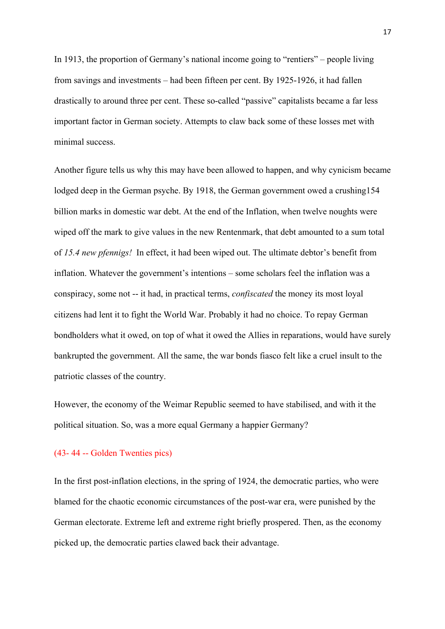In 1913, the proportion of Germany's national income going to "rentiers" – people living from savings and investments – had been fifteen per cent. By 1925-1926, it had fallen drastically to around three per cent. These so-called "passive" capitalists became a far less important factor in German society. Attempts to claw back some of these losses met with minimal success.

Another figure tells us why this may have been allowed to happen, and why cynicism became lodged deep in the German psyche. By 1918, the German government owed a crushing154 billion marks in domestic war debt. At the end of the Inflation, when twelve noughts were wiped off the mark to give values in the new Rentenmark, that debt amounted to a sum total of *15.4 new pfennigs!* In effect, it had been wiped out. The ultimate debtor's benefit from inflation. Whatever the government's intentions – some scholars feel the inflation was a conspiracy, some not -- it had, in practical terms, *confiscated* the money its most loyal citizens had lent it to fight the World War. Probably it had no choice. To repay German bondholders what it owed, on top of what it owed the Allies in reparations, would have surely bankrupted the government. All the same, the war bonds fiasco felt like a cruel insult to the patriotic classes of the country.

However, the economy of the Weimar Republic seemed to have stabilised, and with it the political situation. So, was a more equal Germany a happier Germany?

#### (43- 44 -- Golden Twenties pics)

In the first post-inflation elections, in the spring of 1924, the democratic parties, who were blamed for the chaotic economic circumstances of the post-war era, were punished by the German electorate. Extreme left and extreme right briefly prospered. Then, as the economy picked up, the democratic parties clawed back their advantage.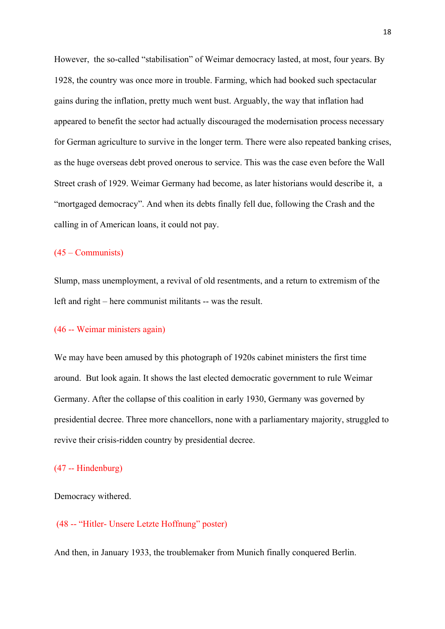However, the so-called "stabilisation" of Weimar democracy lasted, at most, four years. By 1928, the country was once more in trouble. Farming, which had booked such spectacular gains during the inflation, pretty much went bust. Arguably, the way that inflation had appeared to benefit the sector had actually discouraged the modernisation process necessary for German agriculture to survive in the longer term. There were also repeated banking crises, as the huge overseas debt proved onerous to service. This was the case even before the Wall Street crash of 1929. Weimar Germany had become, as later historians would describe it, a "mortgaged democracy". And when its debts finally fell due, following the Crash and the calling in of American loans, it could not pay.

## (45 – Communists)

Slump, mass unemployment, a revival of old resentments, and a return to extremism of the left and right – here communist militants -- was the result.

#### (46 -- Weimar ministers again)

We may have been amused by this photograph of 1920s cabinet ministers the first time around. But look again. It shows the last elected democratic government to rule Weimar Germany. After the collapse of this coalition in early 1930, Germany was governed by presidential decree. Three more chancellors, none with a parliamentary majority, struggled to revive their crisis-ridden country by presidential decree.

#### (47 -- Hindenburg)

Democracy withered.

#### (48 -- "Hitler- Unsere Letzte Hoffnung" poster)

And then, in January 1933, the troublemaker from Munich finally conquered Berlin.